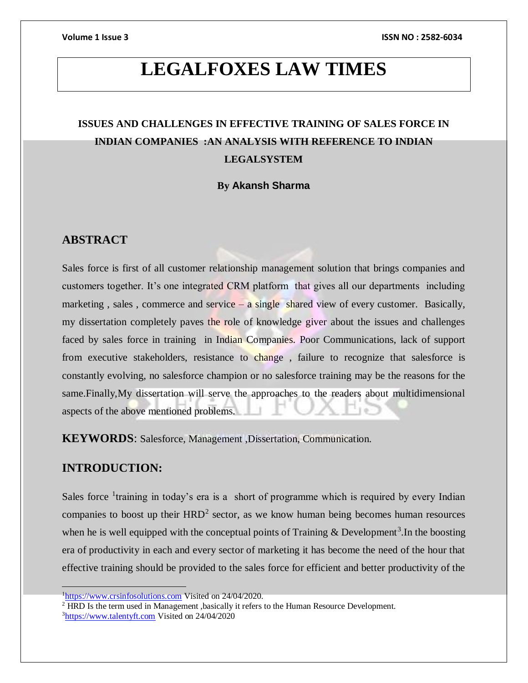# **LEGALFOXES LAW TIMES**

# **ISSUES AND CHALLENGES IN EFFECTIVE TRAINING OF SALES FORCE IN INDIAN COMPANIES :AN ANALYSIS WITH REFERENCE TO INDIAN LEGALSYSTEM**

### **By Akansh Sharma**

# **ABSTRACT**

Sales force is first of all customer relationship management solution that brings companies and customers together. It's one integrated CRM platform that gives all our departments including marketing, sales, commerce and service – a single shared view of every customer. Basically, my dissertation completely paves the role of knowledge giver about the issues and challenges faced by sales force in training in Indian Companies. Poor Communications, lack of support from executive stakeholders, resistance to change , failure to recognize that salesforce is constantly evolving, no salesforce champion or no salesforce training may be the reasons for the same.Finally,My dissertation will serve the approaches to the readers about multidimensional aspects of the above mentioned problems.

**KEYWORDS**: Salesforce, Management ,Dissertation, Communication.

# **INTRODUCTION:**

Sales force <sup>1</sup>training in today's era is a short of programme which is required by every Indian companies to boost up their  $HRD<sup>2</sup>$  sector, as we know human being becomes human resources when he is well equipped with the conceptual points of Training  $&$  Development<sup>3</sup>. In the boosting era of productivity in each and every sector of marketing it has become the need of the hour that effective training should be provided to the sales force for efficient and better productivity of the

<sup>&</sup>lt;sup>1</sup>[https://www.crsinfosolutions.com](https://www.crsinfosolutions.com/) Visited on 24/04/2020.

<sup>2</sup> HRD Is the term used in Management ,basically it refers to the Human Resource Development. <sup>3</sup>[https://www.talentyft.com](https://www.talentyft.com/) Visited on 24/04/2020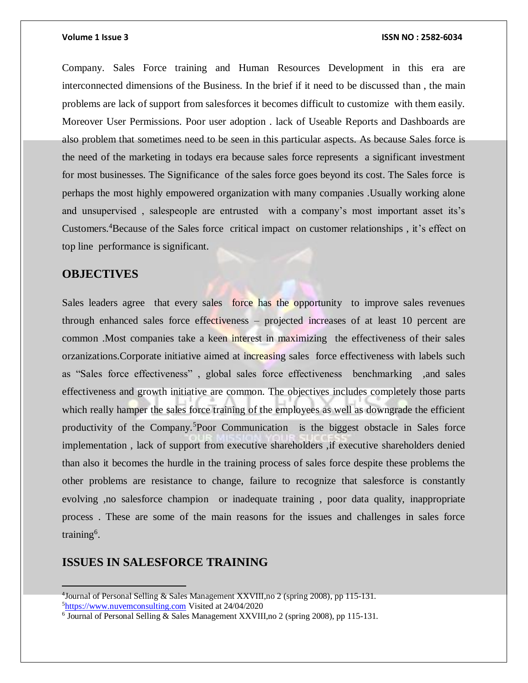Company. Sales Force training and Human Resources Development in this era are interconnected dimensions of the Business. In the brief if it need to be discussed than , the main problems are lack of support from salesforces it becomes difficult to customize with them easily. Moreover User Permissions. Poor user adoption . lack of Useable Reports and Dashboards are also problem that sometimes need to be seen in this particular aspects. As because Sales force is the need of the marketing in todays era because sales force represents a significant investment for most businesses. The Significance of the sales force goes beyond its cost. The Sales force is perhaps the most highly empowered organization with many companies .Usually working alone and unsupervised , salespeople are entrusted with a company's most important asset its's Customers.<sup>4</sup>Because of the Sales force critical impact on customer relationships , it's effect on top line performance is significant.

### **OBJECTIVES**

Sales leaders agree that every sales force has the opportunity to improve sales revenues through enhanced sales force effectiveness – projected increases of at least 10 percent are common .Most companies take a keen interest in maximizing the effectiveness of their sales orzanizations.Corporate initiative aimed at increasing sales force effectiveness with labels such as "Sales force effectiveness" , global sales force effectiveness benchmarking ,and sales effectiveness and growth initiative are common. The objectives includes completely those parts which really hamper the sales force training of the employees as well as downgrade the efficient productivity of the Company.<sup>5</sup>Poor Communication is the biggest obstacle in Sales force implementation, lack of support from executive shareholders, if executive shareholders denied than also it becomes the hurdle in the training process of sales force despite these problems the other problems are resistance to change, failure to recognize that salesforce is constantly evolving ,no salesforce champion or inadequate training , poor data quality, inappropriate process . These are some of the main reasons for the issues and challenges in sales force training<sup>6</sup>.

### **ISSUES IN SALESFORCE TRAINING**

<sup>4</sup> Journal of Personal Selling & Sales Management XXVIII,no 2 (spring 2008), pp 115-131. 5[https://www.nuvemconsulting.com](https://www.nuvemconsulting.com/) Visited at 24/04/2020

<sup>&</sup>lt;sup>6</sup> Journal of Personal Selling & Sales Management XXVIII, no 2 (spring 2008), pp 115-131.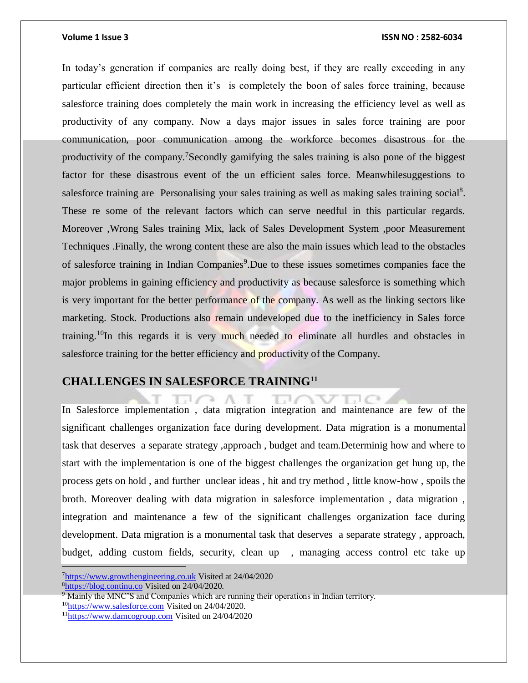In today's generation if companies are really doing best, if they are really exceeding in any particular efficient direction then it's is completely the boon of sales force training, because salesforce training does completely the main work in increasing the efficiency level as well as productivity of any company. Now a days major issues in sales force training are poor communication, poor communication among the workforce becomes disastrous for the productivity of the company.<sup>7</sup>Secondly gamifying the sales training is also pone of the biggest factor for these disastrous event of the un efficient sales force. Meanwhilesuggestions to salesforce training are Personalising your sales training as well as making sales training social<sup>8</sup>. These re some of the relevant factors which can serve needful in this particular regards. Moreover ,Wrong Sales training Mix, lack of Sales Development System ,poor Measurement Techniques .Finally, the wrong content these are also the main issues which lead to the obstacles of salesforce training in Indian Companies<sup>9</sup>. Due to these issues sometimes companies face the major problems in gaining efficiency and productivity as because salesforce is something which is very important for the better performance of the company. As well as the linking sectors like marketing. Stock. Productions also remain undeveloped due to the inefficiency in Sales force training.<sup>10</sup>In this regards it is very much needed to eliminate all hurdles and obstacles in salesforce training for the better efficiency and productivity of the Company.

# **CHALLENGES IN SALESFORCE TRAINING<sup>11</sup>**

In Salesforce implementation , data migration integration and maintenance are few of the significant challenges organization face during development. Data migration is a monumental task that deserves a separate strategy ,approach , budget and team.Determinig how and where to start with the implementation is one of the biggest challenges the organization get hung up, the process gets on hold , and further unclear ideas , hit and try method , little know-how , spoils the broth. Moreover dealing with data migration in salesforce implementation , data migration , integration and maintenance a few of the significant challenges organization face during development. Data migration is a monumental task that deserves a separate strategy , approach, budget, adding custom fields, security, clean up, managing access control etc take up

C 2

<sup>7</sup>[https://www.growthengineering.co.uk](https://www.growthengineering.co.uk/) Visited at 24/04/2020 <sup>8</sup>[https://blog.continu.co](https://blog.continu.co/) Visited on 24/04/2020.

 $9 \text{ Mainly the MNC's and Companies which are running their operations in Indian territory.}$ 

<sup>&</sup>lt;sup>10</sup>[https://www.salesforce.com](https://www.salesforce.com/) Visited on 24/04/2020.

<sup>11</sup>[https://www.damcogroup.com](https://www.damcogroup.com/) Visited on 24/04/2020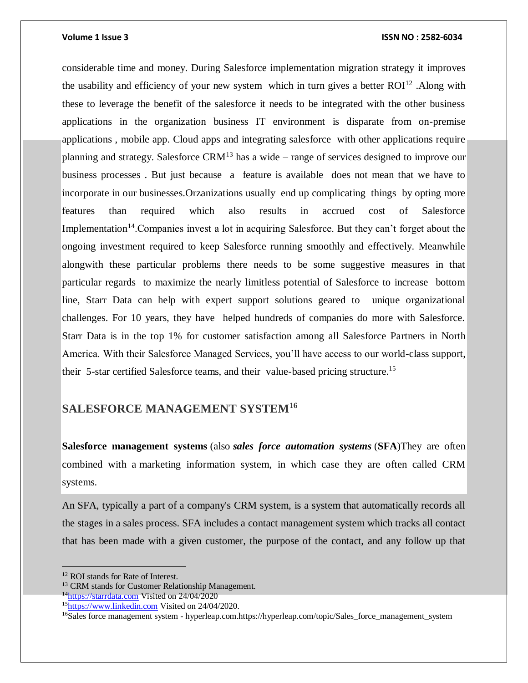considerable time and money. During Salesforce implementation migration strategy it improves the usability and efficiency of your new system which in turn gives a better  $ROI<sup>12</sup>$ . Along with these to leverage the benefit of the salesforce it needs to be integrated with the other business applications in the organization business IT environment is disparate from on-premise applications , mobile app. Cloud apps and integrating salesforce with other applications require planning and strategy. Salesforce  $CRM<sup>13</sup>$  has a wide – range of services designed to improve our business processes . But just because a feature is available does not mean that we have to incorporate in our businesses.Orzanizations usually end up complicating things by opting more features than required which also results in accrued cost of Salesforce Implementation<sup>14</sup>. Companies invest a lot in acquiring Salesforce. But they can't forget about the ongoing investment required to keep Salesforce running smoothly and effectively. Meanwhile alongwith these particular problems there needs to be some suggestive measures in that particular regards to maximize the nearly limitless potential of Salesforce to increase bottom line, Starr Data can help with expert support solutions geared to unique organizational challenges. For 10 years, they have helped hundreds of companies do more with Salesforce. Starr Data is in the top 1% for customer satisfaction among all Salesforce Partners in North America. With their Salesforce Managed Services, you'll have access to our world-class support, their 5-star certified Salesforce teams, and their value-based pricing structure.<sup>15</sup>

# **SALESFORCE MANAGEMENT SYSTEM<sup>16</sup>**

**Salesforce management systems** (also *sales force automation systems* (**SFA**)They are often combined with a marketing information system, in which case they are often called CRM systems.

An SFA, typically a part of a company's CRM system, is a system that automatically records all the stages in a sales process. SFA includes a contact management system which tracks all contact that has been made with a given customer, the purpose of the contact, and any follow up that

 $\overline{a}$ 

<sup>14</sup>[https://starrdata.com](https://starrdata.com/) Visited on 24/04/2020

<sup>12</sup> ROI stands for Rate of Interest.

<sup>&</sup>lt;sup>13</sup> CRM stands for Customer Relationship Management.

<sup>&</sup>lt;sup>15</sup>[https://www.linkedin.com](https://www.linkedin.com/) Visited on 24/04/2020.

<sup>16</sup>Sales force management system - hyperleap.com.https://hyperleap.com/topic/Sales\_force\_management\_system